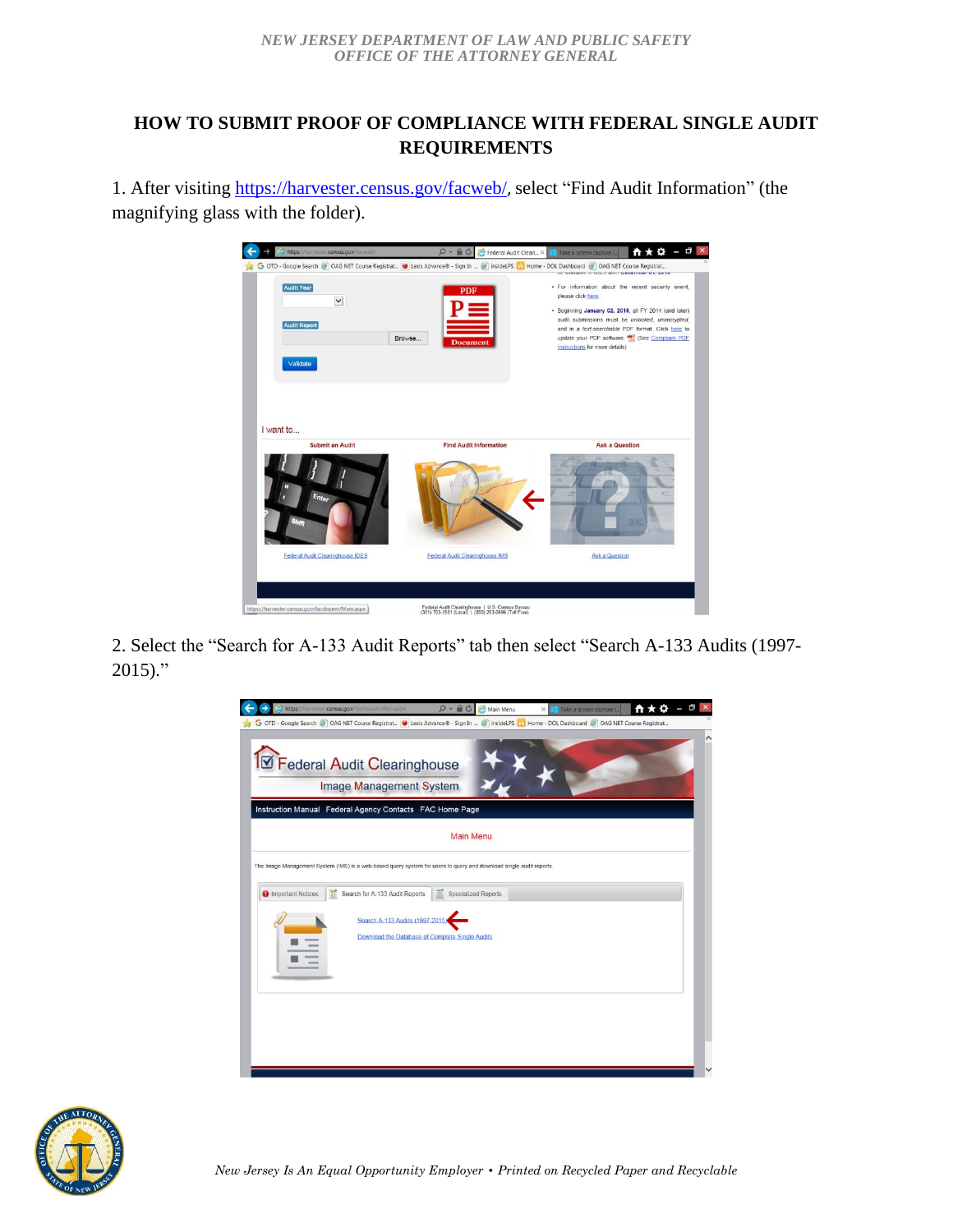## **HOW TO SUBMIT PROOF OF COMPLIANCE WITH FEDERAL SINGLE AUDIT REQUIREMENTS**

1. After visiting<https://harvester.census.gov/facweb/>, select "Find Audit Information" (the magnifying glass with the folder).



2. Select the "Search for A-133 Audit Reports" tab then select "Search A-133 Audits (1997-  $2015$ ."



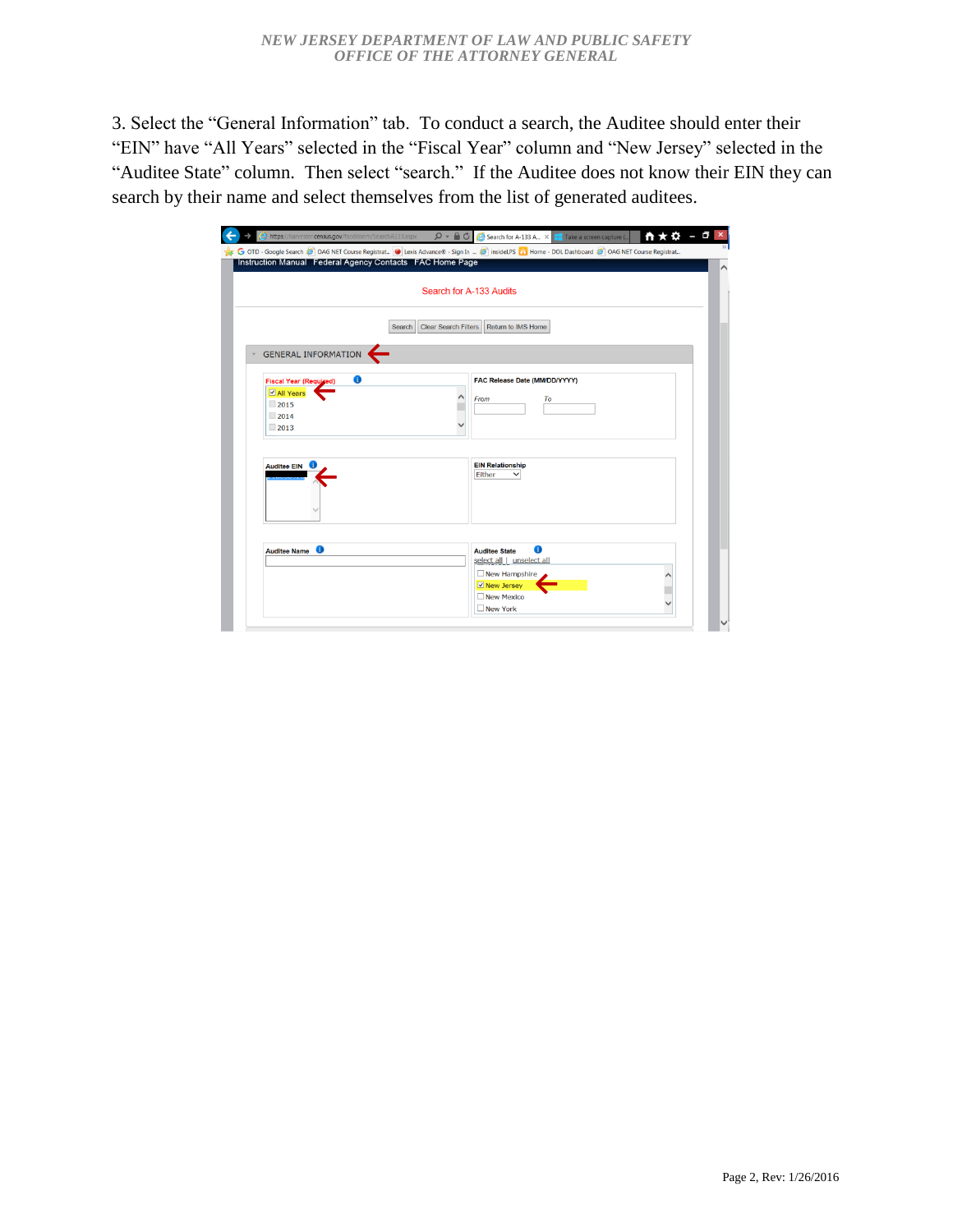3. Select the "General Information" tab. To conduct a search, the Auditee should enter their "EIN" have "All Years" selected in the "Fiscal Year" column and "New Jersey" selected in the "Auditee State" column. Then select "search." If the Auditee does not know their EIN they can search by their name and select themselves from the list of generated auditees.

| Instruction Manual Federal Agency Contacts FAC Home Page | G OTD - Google Search S OAG NET Course Registrat C Lexis Advance® - Sign In = S insideLPS [1] Home - DOL Dashboard S OAG NET Course Registrat |
|----------------------------------------------------------|-----------------------------------------------------------------------------------------------------------------------------------------------|
|                                                          | Search for A-133 Audits                                                                                                                       |
|                                                          | <b>Clear Search Filters</b><br>Return to IMS Home<br>Search                                                                                   |
| <b>GENERAL INFORMATION</b>                               |                                                                                                                                               |
| 6<br><b>Fiscal Year (Required)</b>                       | FAC Release Date (MM/DD/YYYY)                                                                                                                 |
| ☑ All Years<br>$\Box$ 2015<br>2014<br>$\Box$ 2013        | To<br>From                                                                                                                                    |
| <b>Auditee EIN</b>                                       | <b>EIN Relationship</b><br>Either                                                                                                             |
|                                                          |                                                                                                                                               |
| 0<br><b>Auditee Name</b>                                 | 6<br><b>Auditee State</b><br>select all   unselect all                                                                                        |
|                                                          | $\Box$ New Hampshire<br>☑ New Jersey                                                                                                          |
|                                                          | New Mexico<br>□ New York                                                                                                                      |